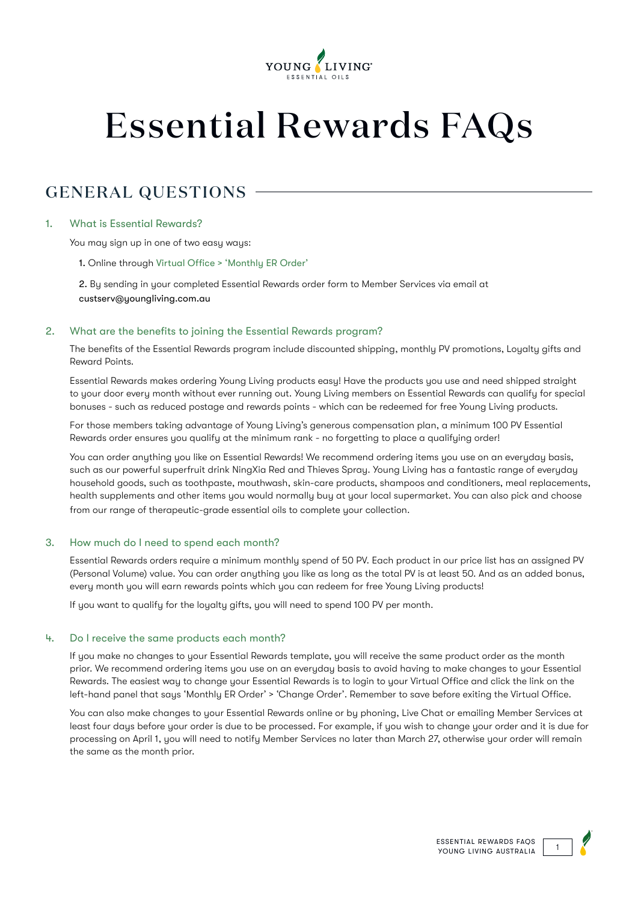

# Essential Rewards FAQs

# GENERAL QUESTIONS

## 1. What is Essential Rewards?

You may sign up in one of two easy ways:

1. Online through [Virtual Office](https://www.youngliving.com/en_AU/virtual-office) > 'Monthly ER Order'

2. By sending in your completed Essential Rewards order form to Member Services via email at custserv@youngliving.com.au

#### 2. What are the benefits to joining the Essential Rewards program?

The benefits of the Essential Rewards program include discounted shipping, monthly PV promotions, Loyalty gifts and Reward Points.

Essential Rewards makes ordering Young Living products easy! Have the products you use and need shipped straight to your door every month without ever running out. Young Living members on Essential Rewards can qualify for special bonuses - such as reduced postage and rewards points - which can be redeemed for free Young Living products.

For those members taking advantage of Young Living's generous compensation plan, a minimum 100 PV Essential Rewards order ensures you qualify at the minimum rank - no forgetting to place a qualifying order!

You can order anything you like on Essential Rewards! We recommend ordering items you use on an everyday basis, such as our powerful superfruit drink NingXia Red and Thieves Spray. Young Living has a fantastic range of everyday household goods, such as toothpaste, mouthwash, skin-care products, shampoos and conditioners, meal replacements, health supplements and other items you would normally buy at your local supermarket. You can also pick and choose from our range of therapeutic-grade essential oils to complete your collection.

#### 3. How much do I need to spend each month?

Essential Rewards orders require a minimum monthly spend of 50 PV. Each product in our price list has an assigned PV (Personal Volume) value. You can order anuthing you like as long as the total PV is at least 50. And as an added bonus, every month you will earn rewards points which you can redeem for free Young Living products!

If you want to qualify for the loyalty gifts, you will need to spend 100 PV per month.

#### 4. Do I receive the same products each month?

If you make no changes to your Essential Rewards template, you will receive the same product order as the month prior. We recommend ordering items you use on an everyday basis to avoid having to make changes to your Essential Rewards. The easiest way to change your Essential Rewards is to login to your Virtual Office and click the link on the left-hand panel that says 'Monthly ER Order' > 'Change Order'. Remember to save before exiting the Virtual Office.

You can also make changes to your Essential Rewards online or by phoning, Live Chat or emailing Member Services at least four days before your order is due to be processed. For example, if you wish to change your order and it is due for processing on April 1, you will need to notify Member Services no later than March 27, otherwise your order will remain the same as the month prior.

ESSENTIAL REWARDS FAQS<br>1 YOUNG LIVING AUSTRALIA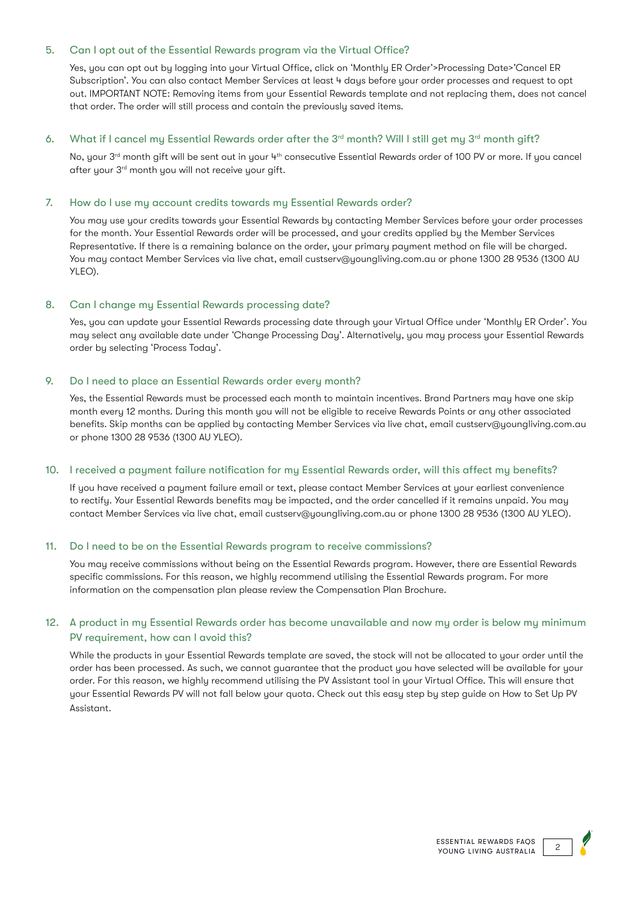## 5. Can I opt out of the Essential Rewards program via the Virtual Office?

Yes, you can opt out by logging into your Virtual Office, click on 'Monthly ER Order'>Processing Date>'Cancel ER Subscription'. You can also contact Member Services at least 4 days before your order processes and request to opt out. IMPORTANT NOTE: Removing items from your Essential Rewards template and not replacing them, does not cancel that order. The order will still process and contain the previously saved items.

#### 6. What if I cancel my Essential Rewards order after the  $3^{rd}$  month? Will I still get my  $3^{rd}$  month gift?

No, your 3<sup>rd</sup> month gift will be sent out in your 4<sup>th</sup> consecutive Essential Rewards order of 100 PV or more. If you cancel after your 3rd month you will not receive your gift.

#### 7. How do I use my account credits towards my Essential Rewards order?

You may use your credits towards your Essential Rewards by contacting Member Services before your order processes for the month. Your Essential Rewards order will be processed, and your credits applied by the Member Services Representative. If there is a remaining balance on the order, your primary payment method on file will be charged. You may contact Member Services via live chat, email custserv@youngliving.com.au or phone 1300 28 9536 (1300 AU YLEO).

#### 8. Can I change my Essential Rewards processing date?

Yes, you can update your Essential Rewards processing date through your Virtual Office under 'Monthly ER Order'. You may select any available date under 'Change Processing Day'. Alternatively, you may process your Essential Rewards order by selecting 'Process Today'.

## 9. Do I need to place an Essential Rewards order every month?

Yes, the Essential Rewards must be processed each month to maintain incentives. Brand Partners may have one skip month every 12 months. During this month you will not be eligible to receive Rewards Points or any other associated benefits. Skip months can be applied by contacting Member Services via live chat, email custserv@youngliving.com.au or phone 1300 28 9536 (1300 AU YLEO).

#### 10. I received a payment failure notification for my Essential Rewards order, will this affect my benefits?

If you have received a payment failure email or text, please contact Member Services at your earliest convenience to rectify. Your Essential Rewards benefits may be impacted, and the order cancelled if it remains unpaid. You may contact Member Services via live chat, email custserv@youngliving.com.au or phone 1300 28 9536 (1300 AU YLEO).

#### 11. Do I need to be on the Essential Rewards program to receive commissions?

You may receive commissions without being on the Essential Rewards program. However, there are Essential Rewards specific commissions. For this reason, we highly recommend utilising the Essential Rewards program. For more information on the compensation plan please review the Compensation Plan Brochure.

# 12. A product in my Essential Rewards order has become unavailable and now my order is below my minimum PV requirement, how can I avoid this?

While the products in your Essential Rewards template are saved, the stock will not be allocated to your order until the order has been processed. As such, we cannot guarantee that the product you have selected will be available for your order. For this reason, we highly recommend utilising the PV Assistant tool in your Virtual Office. This will ensure that your Essential Rewards PV will not fall below your quota. Check out this easy step by step guide on How to Set Up PV Assistant.

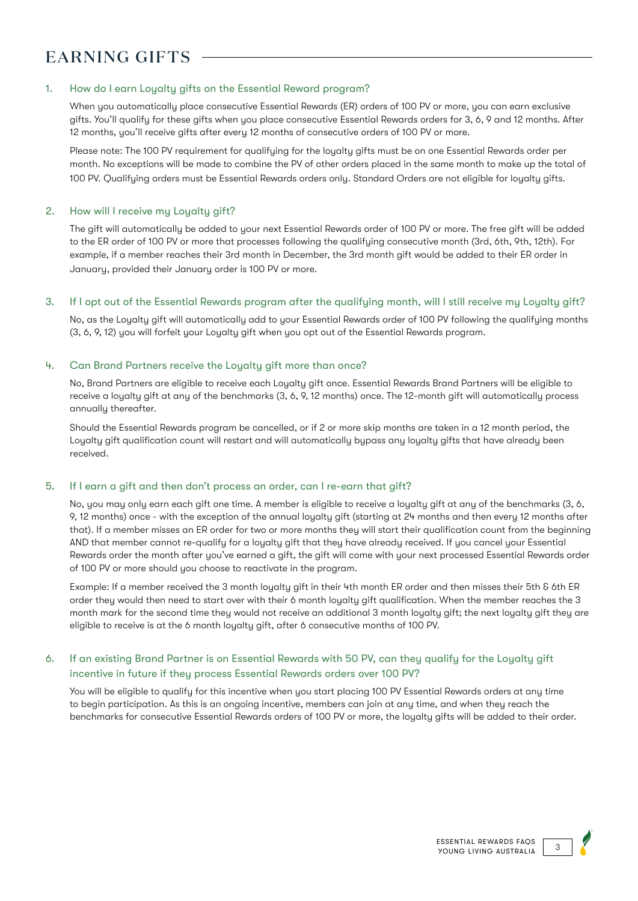# EARNING GIFTS

## 1. How do I earn Loyalty gifts on the Essential Reward program?

When you automatically place consecutive Essential Rewards (ER) orders of 100 PV or more, you can earn exclusive gifts. You'll qualify for these gifts when you place consecutive Essential Rewards orders for 3, 6, 9 and 12 months. After 12 months, you'll receive gifts after every 12 months of consecutive orders of 100 PV or more.

Please note: The 100 PV requirement for qualifying for the loyalty gifts must be on one Essential Rewards order per month. No exceptions will be made to combine the PV of other orders placed in the same month to make up the total of 100 PV. Qualifying orders must be Essential Rewards orders only. Standard Orders are not eligible for loyalty gifts.

#### 2. How will I receive my Loyalty gift?

The gift will automatically be added to your next Essential Rewards order of 100 PV or more. The free gift will be added to the ER order of 100 PV or more that processes following the qualifying consecutive month (3rd, 6th, 9th, 12th). For example, if a member reaches their 3rd month in December, the 3rd month gift would be added to their ER order in January, provided their January order is 100 PV or more.

#### 3. If I opt out of the Essential Rewards program after the qualifying month, will I still receive my Loyalty gift?

No, as the Loyalty gift will automatically add to your Essential Rewards order of 100 PV following the qualifying months (3, 6, 9, 12) you will forfeit your Loyalty gift when you opt out of the Essential Rewards program.

## 4. Can Brand Partners receive the Loyalty gift more than once?

No, Brand Partners are eligible to receive each Loyalty gift once. Essential Rewards Brand Partners will be eligible to receive a loyalty gift at any of the benchmarks (3, 6, 9, 12 months) once. The 12-month gift will automatically process annually thereafter.

Should the Essential Rewards program be cancelled, or if 2 or more skip months are taken in a 12 month period, the Loyalty gift qualification count will restart and will automatically bypass any loyalty gifts that have already been received.

#### 5. If I earn a gift and then don't process an order, can I re-earn that gift?

No, you may only earn each gift one time. A member is eligible to receive a loyalty gift at any of the benchmarks (3, 6, 9, 12 months) once - with the exception of the annual loyalty gift (starting at 24 months and then every 12 months after that). If a member misses an ER order for two or more months they will start their qualification count from the beginning AND that member cannot re-qualify for a loyalty gift that they have already received. If you cancel your Essential Rewards order the month after you've earned a gift, the gift will come with your next processed Essential Rewards order of 100 PV or more should you choose to reactivate in the program.

Example: If a member received the 3 month loyalty gift in their 4th month ER order and then misses their 5th & 6th ER order they would then need to start over with their 6 month loyalty gift qualification. When the member reaches the 3 month mark for the second time they would not receive an additional 3 month loyalty gift; the next loyalty gift they are eligible to receive is at the 6 month loyalty gift, after 6 consecutive months of 100 PV.

# 6. If an existing Brand Partner is on Essential Rewards with 50 PV, can they qualify for the Loyalty gift incentive in future if they process Essential Rewards orders over 100 PV?

You will be eligible to qualifu for this incentive when you start placing 100 PV Essential Rewards orders at any time to begin participation. As this is an ongoing incentive, members can join at any time, and when they reach the benchmarks for consecutive Essential Rewards orders of 100 PV or more, the loyalty gifts will be added to their order.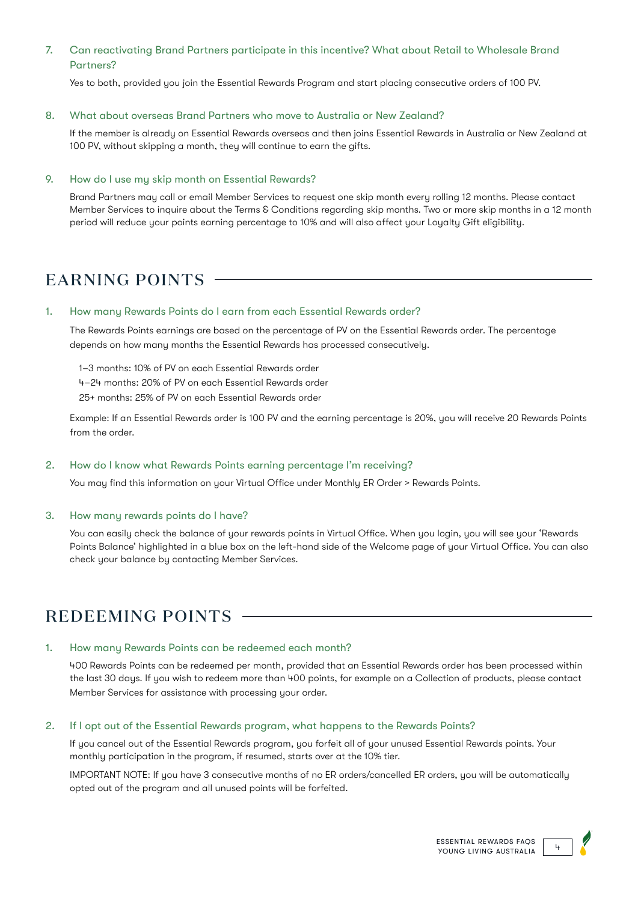# 7. Can reactivating Brand Partners participate in this incentive? What about Retail to Wholesale Brand Partners?

Yes to both, provided you join the Essential Rewards Program and start placing consecutive orders of 100 PV.

#### 8. What about overseas Brand Partners who move to Australia or New Zealand?

If the member is already on Essential Rewards overseas and then joins Essential Rewards in Australia or New Zealand at 100 PV, without skipping a month, they will continue to earn the gifts.

#### 9. How do I use my skip month on Essential Rewards?

Brand Partners may call or email Member Services to request one skip month every rolling 12 months. Please contact Member Services to inquire about the Terms & Conditions regarding skip months. Two or more skip months in a 12 month period will reduce your points earning percentage to 10% and will also affect your Loyalty Gift eligibility.

# EARNING POINTS

#### 1. How many Rewards Points do I earn from each Essential Rewards order?

The Rewards Points earnings are based on the percentage of PV on the Essential Rewards order. The percentage depends on how many months the Essential Rewards has processed consecutively.

1–3 months: 10% of PV on each Essential Rewards order

4–24 months: 20% of PV on each Essential Rewards order

25+ months: 25% of PV on each Essential Rewards order

Example: If an Essential Rewards order is 100 PV and the earning percentage is 20%, you will receive 20 Rewards Points from the order.

#### 2. How do I know what Rewards Points earning percentage I'm receiving?

You may find this information on your Virtual Office under Monthly ER Order > Rewards Points.

#### 3. How many rewards points do I have?

You can easily check the balance of your rewards points in Virtual Office. When you login, you will see your 'Rewards Points Balance' highlighted in a blue box on the left-hand side of the Welcome page of your Virtual Office. You can also check your balance by contacting Member Services.

# REDEEMING POINTS

#### 1. How many Rewards Points can be redeemed each month?

400 Rewards Points can be redeemed per month, provided that an Essential Rewards order has been processed within the last 30 days. If you wish to redeem more than 400 points, for example on a Collection of products, please contact Member Services for assistance with processing your order.

#### 2. If I opt out of the Essential Rewards program, what happens to the Rewards Points?

If you cancel out of the Essential Rewards program, you forfeit all of your unused Essential Rewards points. Your monthly participation in the program, if resumed, starts over at the 10% tier.

IMPORTANT NOTE: If you have 3 consecutive months of no ER orders/cancelled ER orders, you will be automatically opted out of the program and all unused points will be forfeited.

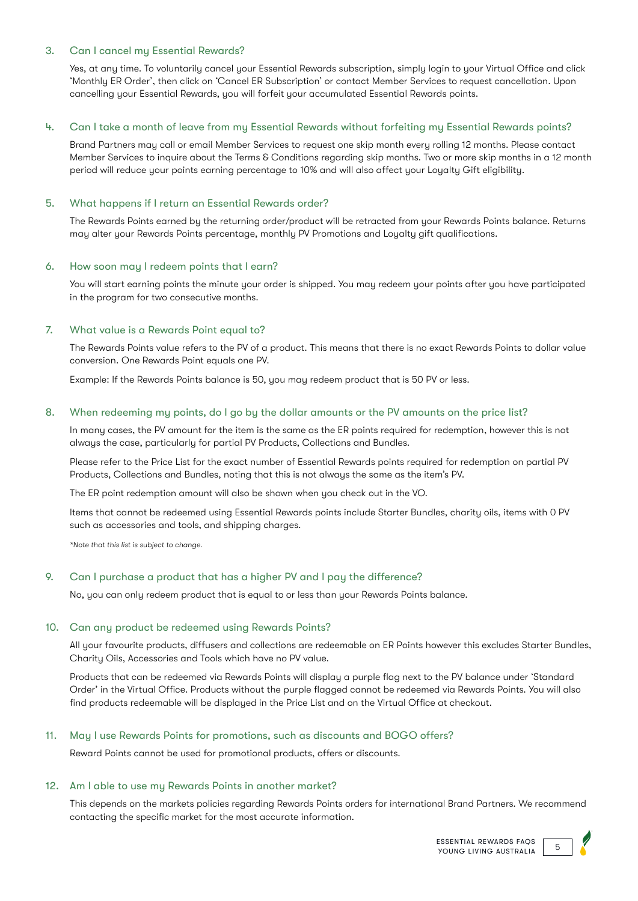## 3. Can I cancel my Essential Rewards?

Yes, at any time. To voluntarily cancel your Essential Rewards subscription, simply login to your Virtual Office and click 'Monthly ER Order', then click on 'Cancel ER Subscription' or contact Member Services to request cancellation. Upon cancelling your Essential Rewards, you will forfeit your accumulated Essential Rewards points.

## 4. Can I take a month of leave from my Essential Rewards without forfeiting my Essential Rewards points?

Brand Partners may call or email Member Services to request one skip month every rolling 12 months. Please contact Member Services to inquire about the Terms & Conditions regarding skip months. Two or more skip months in a 12 month period will reduce your points earning percentage to 10% and will also affect your Loyalty Gift eligibility.

#### 5. What happens if I return an Essential Rewards order?

The Rewards Points earned by the returning order/product will be retracted from your Rewards Points balance. Returns may alter your Rewards Points percentage, monthly PV Promotions and Loyalty gift qualifications.

#### 6. How soon may I redeem points that I earn?

You will start earning points the minute your order is shipped. You may redeem your points after you have participated in the program for two consecutive months.

## 7. What value is a Rewards Point equal to?

The Rewards Points value refers to the PV of a product. This means that there is no exact Rewards Points to dollar value conversion. One Rewards Point equals one PV.

Example: If the Rewards Points balance is 50, you may redeem product that is 50 PV or less.

#### 8. When redeeming my points, do I go by the dollar amounts or the PV amounts on the price list?

In many cases, the PV amount for the item is the same as the ER points required for redemption, however this is not always the case, particularly for partial PV Products, Collections and Bundles.

Please refer to the Price List for the exact number of Essential Rewards points required for redemption on partial PV Products, Collections and Bundles, noting that this is not always the same as the item's PV.

The ER point redemption amount will also be shown when you check out in the VO.

Items that cannot be redeemed using Essential Rewards points include Starter Bundles, charity oils, items with 0 PV such as accessories and tools, and shipping charges.

*\*Note that this list is subject to change.*

#### 9. Can I purchase a product that has a higher PV and I pay the difference?

No, you can only redeem product that is equal to or less than your Rewards Points balance.

#### 10. Can any product be redeemed using Rewards Points?

All your favourite products, diffusers and collections are redeemable on ER Points however this excludes Starter Bundles, Charity Oils, Accessories and Tools which have no PV value.

Products that can be redeemed via Rewards Points will display a purple flag next to the PV balance under 'Standard Order' in the Virtual Office. Products without the purple flagged cannot be redeemed via Rewards Points. You will also find products redeemable will be displayed in the Price List and on the Virtual Office at checkout.

#### 11. May I use Rewards Points for promotions, such as discounts and BOGO offers?

Reward Points cannot be used for promotional products, offers or discounts.

#### 12. Am I able to use my Rewards Points in another market?

This depends on the markets policies regarding Rewards Points orders for international Brand Partners. We recommend contacting the specific market for the most accurate information.